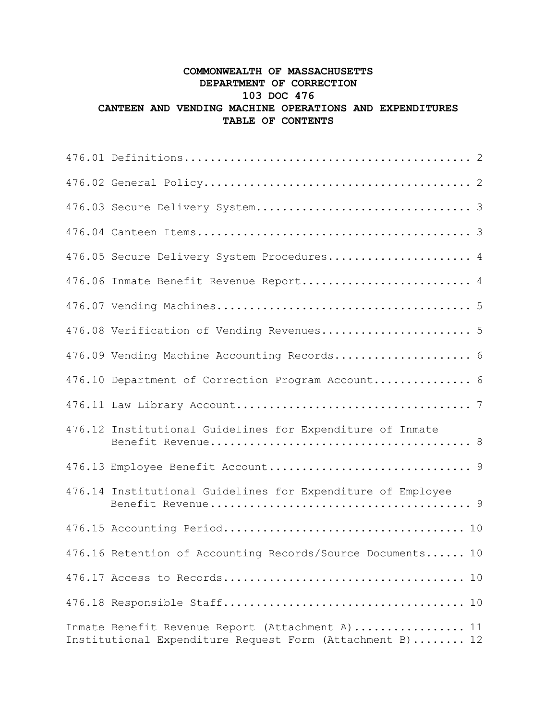## **COMMONWEALTH OF MASSACHUSETTS DEPARTMENT OF CORRECTION 103 DOC 476 CANTEEN AND VENDING MACHINE OPERATIONS AND EXPENDITURES TABLE OF CONTENTS**

| 476.05 Secure Delivery System Procedures 4                                                                    |  |
|---------------------------------------------------------------------------------------------------------------|--|
| 476.06 Inmate Benefit Revenue Report 4                                                                        |  |
|                                                                                                               |  |
| 476.08 Verification of Vending Revenues 5                                                                     |  |
| 476.09 Vending Machine Accounting Records 6                                                                   |  |
| 476.10 Department of Correction Program Account 6                                                             |  |
|                                                                                                               |  |
| 476.12 Institutional Guidelines for Expenditure of Inmate                                                     |  |
|                                                                                                               |  |
| 476.14 Institutional Guidelines for Expenditure of Employee                                                   |  |
|                                                                                                               |  |
| 476.16 Retention of Accounting Records/Source Documents 10                                                    |  |
|                                                                                                               |  |
|                                                                                                               |  |
| Inmate Benefit Revenue Report (Attachment A)  11<br>Institutional Expenditure Request Form (Attachment B)  12 |  |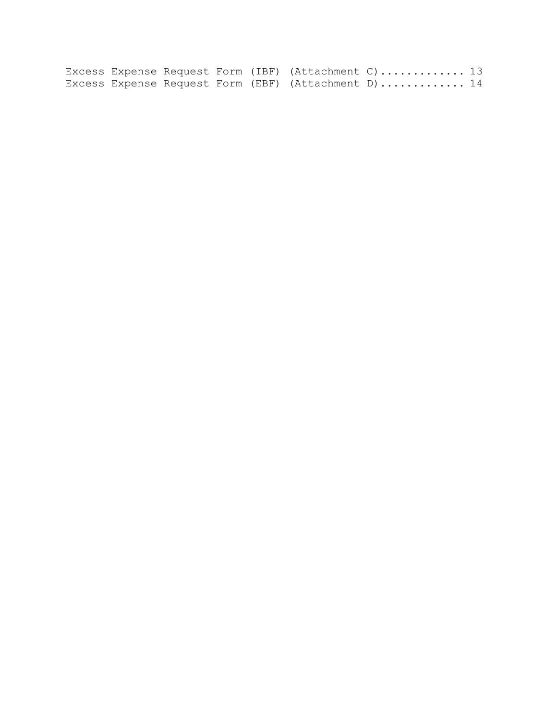Excess Expense Request Form (IBF) (Attachment C)...............  $13\,$ Excess Expense Request Form (EBF) (Attachment D)..............  $14\,$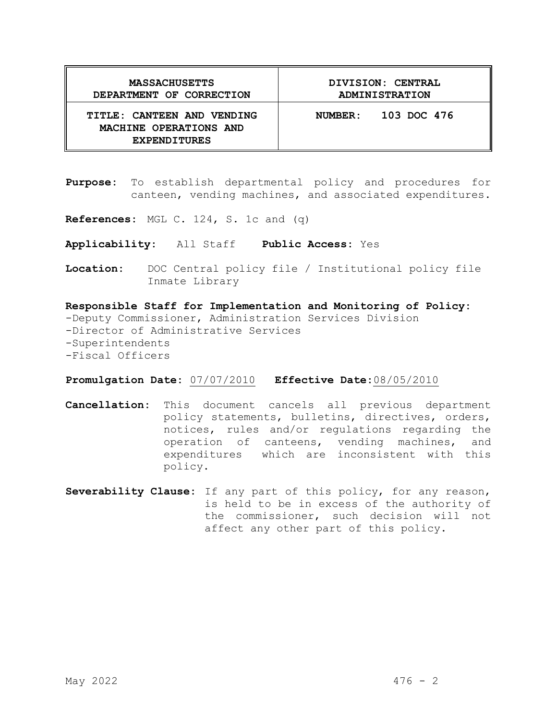| <b>MASSACHUSETTS</b>                                                        | DIVISION: CENTRAL      |
|-----------------------------------------------------------------------------|------------------------|
| DEPARTMENT OF CORRECTION                                                    | ADMINISTRATION         |
| TITLE: CANTEEN AND VENDING<br>MACHINE OPERATIONS AND<br><b>EXPENDITURES</b> | 103 DOC 476<br>NUMBER: |

- **Purpose:** To establish departmental policy and procedures for canteen, vending machines, and associated expenditures.
- **References:** MGL C. 124, S. 1c and (q)
- **Applicability:** All Staff **Public Access:** Yes
- **Location:** DOC Central policy file / Institutional policy file Inmate Library

**Responsible Staff for Implementation and Monitoring of Policy:** -Deputy Commissioner, Administration Services Division -Director of Administrative Services -Superintendents -Fiscal Officers

#### **Promulgation Date:** 07/07/2010 **Effective Date:**08/05/2010

- **Cancellation:** This document cancels all previous department policy statements, bulletins, directives, orders, notices, rules and/or regulations regarding the operation of canteens, vending machines, and expenditures which are inconsistent with this policy.
- **Severability Clause:** If any part of this policy, for any reason, is held to be in excess of the authority of the commissioner, such decision will not affect any other part of this policy.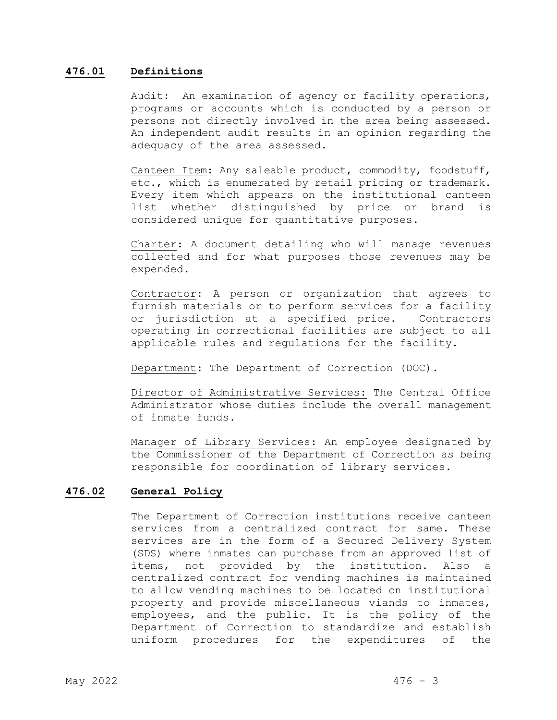#### **476.01 Definitions**

Audit: An examination of agency or facility operations, programs or accounts which is conducted by a person or persons not directly involved in the area being assessed. An independent audit results in an opinion regarding the adequacy of the area assessed.

Canteen Item: Any saleable product, commodity, foodstuff, etc., which is enumerated by retail pricing or trademark. Every item which appears on the institutional canteen list whether distinguished by price or brand is considered unique for quantitative purposes.

Charter: A document detailing who will manage revenues collected and for what purposes those revenues may be expended.

Contractor: A person or organization that agrees to furnish materials or to perform services for a facility or jurisdiction at a specified price. Contractors operating in correctional facilities are subject to all applicable rules and regulations for the facility.

Department: The Department of Correction (DOC).

Director of Administrative Services: The Central Office Administrator whose duties include the overall management of inmate funds.

Manager of Library Services: An employee designated by the Commissioner of the Department of Correction as being responsible for coordination of library services.

#### **476.02 General Policy**

The Department of Correction institutions receive canteen services from a centralized contract for same. These services are in the form of a Secured Delivery System (SDS) where inmates can purchase from an approved list of items, not provided by the institution. Also a centralized contract for vending machines is maintained to allow vending machines to be located on institutional property and provide miscellaneous viands to inmates, employees, and the public. It is the policy of the Department of Correction to standardize and establish<br>uniform procedures for the expenditures of the uniform procedures for the expenditures of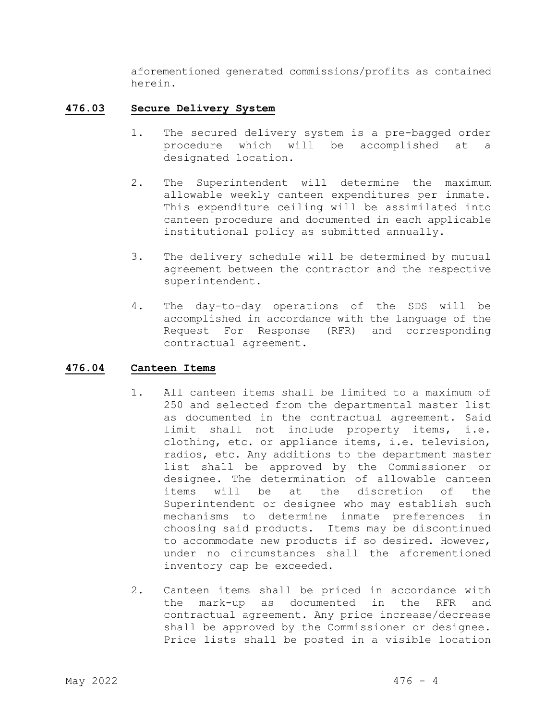aforementioned generated commissions/profits as contained herein.

#### **476.03 Secure Delivery System**

- 1. The secured delivery system is a pre-bagged order procedure which will be accomplished at a designated location.
- 2. The Superintendent will determine the maximum allowable weekly canteen expenditures per inmate. This expenditure ceiling will be assimilated into canteen procedure and documented in each applicable institutional policy as submitted annually.
- 3. The delivery schedule will be determined by mutual agreement between the contractor and the respective superintendent.
- 4. The day-to-day operations of the SDS will be accomplished in accordance with the language of the Request For Response (RFR) and corresponding contractual agreement.

#### **476.04 Canteen Items**

- 1. All canteen items shall be limited to a maximum of 250 and selected from the departmental master list as documented in the contractual agreement. Said limit shall not include property items, i.e. clothing, etc. or appliance items, i.e. television, radios, etc. Any additions to the department master list shall be approved by the Commissioner or designee. The determination of allowable canteen<br>items will be at the discretion of the will be at the discretion of the Superintendent or designee who may establish such mechanisms to determine inmate preferences in choosing said products. Items may be discontinued to accommodate new products if so desired. However, under no circumstances shall the aforementioned inventory cap be exceeded.
- 2. Canteen items shall be priced in accordance with the mark-up as documented in the RFR and contractual agreement. Any price increase/decrease shall be approved by the Commissioner or designee. Price lists shall be posted in a visible location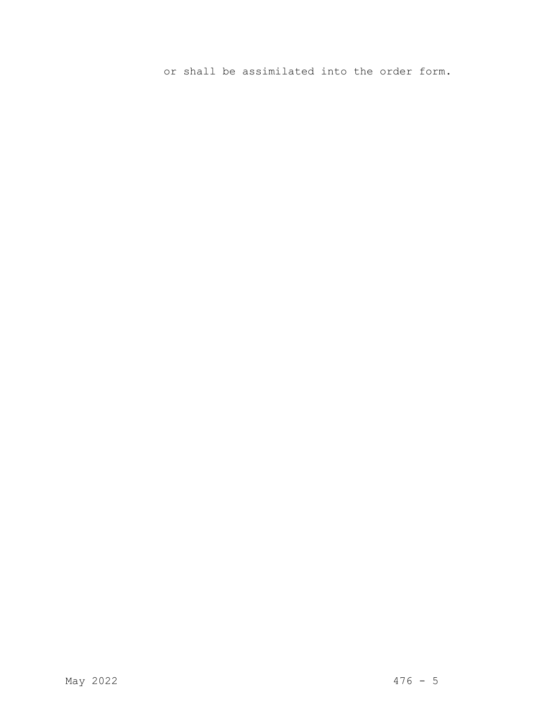or shall be assimilated into the order form.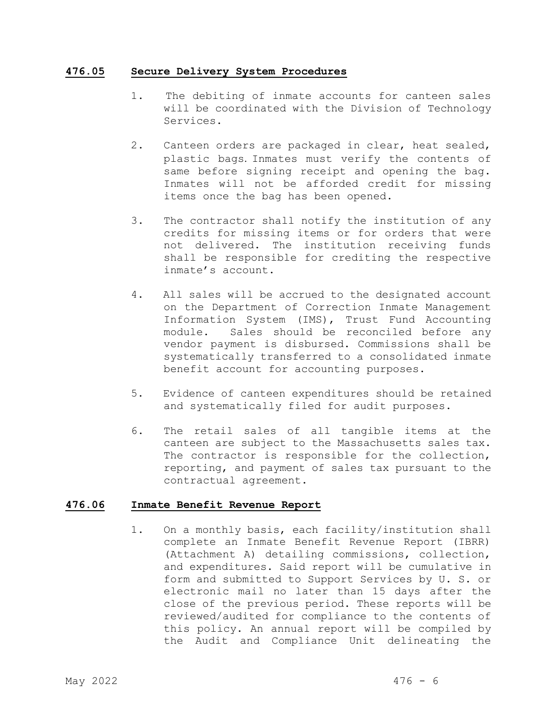#### **476.05 Secure Delivery System Procedures**

- 1. The debiting of inmate accounts for canteen sales will be coordinated with the Division of Technology Services.
- 2. Canteen orders are packaged in clear, heat sealed, plastic bags. Inmates must verify the contents of same before signing receipt and opening the bag. Inmates will not be afforded credit for missing items once the bag has been opened.
- 3. The contractor shall notify the institution of any credits for missing items or for orders that were not delivered. The institution receiving funds shall be responsible for crediting the respective inmate's account.
- 4. All sales will be accrued to the designated account on the Department of Correction Inmate Management Information System (IMS), Trust Fund Accounting module. Sales should be reconciled before any vendor payment is disbursed. Commissions shall be systematically transferred to a consolidated inmate benefit account for accounting purposes.
- 5. Evidence of canteen expenditures should be retained and systematically filed for audit purposes.
- 6. The retail sales of all tangible items at the canteen are subject to the Massachusetts sales tax. The contractor is responsible for the collection, reporting, and payment of sales tax pursuant to the contractual agreement.

#### **476.06 Inmate Benefit Revenue Report**

1. On a monthly basis, each facility/institution shall complete an Inmate Benefit Revenue Report (IBRR) (Attachment A) detailing commissions, collection, and expenditures. Said report will be cumulative in form and submitted to Support Services by U. S. or electronic mail no later than 15 days after the close of the previous period. These reports will be reviewed/audited for compliance to the contents of this policy. An annual report will be compiled by the Audit and Compliance Unit delineating the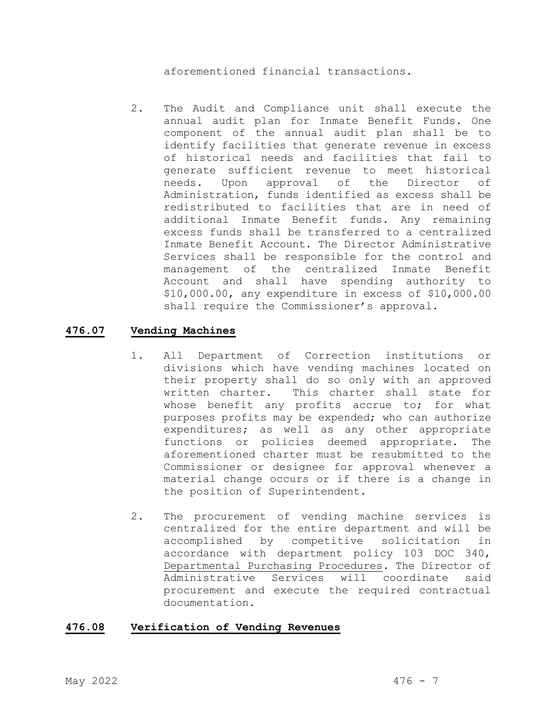aforementioned financial transactions.

2. The Audit and Compliance unit shall execute the annual audit plan for Inmate Benefit Funds. One component of the annual audit plan shall be to identify facilities that generate revenue in excess of historical needs and facilities that fail to generate sufficient revenue to meet historical<br>needs. Upon approval of the Director of Upon approval of the Director of Administration, funds identified as excess shall be redistributed to facilities that are in need of additional Inmate Benefit funds. Any remaining excess funds shall be transferred to a centralized Inmate Benefit Account. The Director Administrative Services shall be responsible for the control and management of the centralized Inmate Benefit Account and shall have spending authority to \$10,000.00, any expenditure in excess of \$10,000.00 shall require the Commissioner's approval.

#### **476.07 Vending Machines**

- 1. All Department of Correction institutions or divisions which have vending machines located on their property shall do so only with an approved written charter. This charter shall state for whose benefit any profits accrue to; for what purposes profits may be expended; who can authorize expenditures; as well as any other appropriate functions or policies deemed appropriate. The aforementioned charter must be resubmitted to the Commissioner or designee for approval whenever a material change occurs or if there is a change in the position of Superintendent.
- 2. The procurement of vending machine services is centralized for the entire department and will be accomplished by competitive solicitation in accordance with department policy 103 DOC 340, Departmental Purchasing Procedures. The Director of Administrative Services will coordinate said procurement and execute the required contractual documentation.

#### **476.08 Verification of Vending Revenues**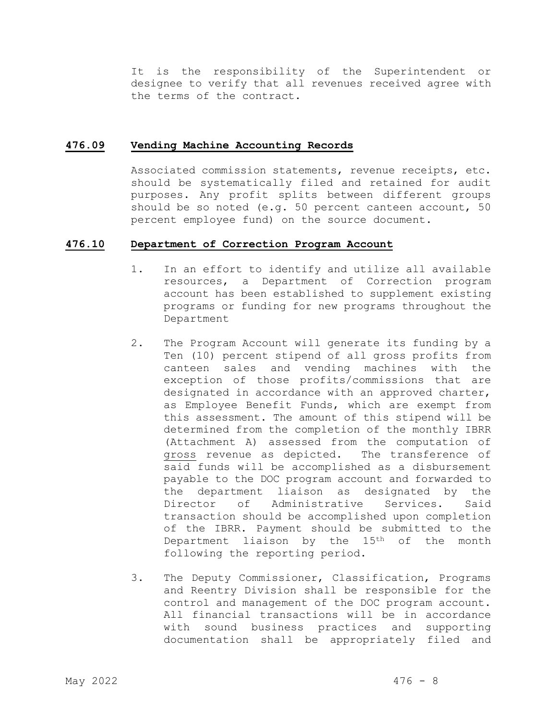It is the responsibility of the Superintendent or designee to verify that all revenues received agree with the terms of the contract.

#### **476.09 Vending Machine Accounting Records**

Associated commission statements, revenue receipts, etc. should be systematically filed and retained for audit purposes. Any profit splits between different groups should be so noted (e.g. 50 percent canteen account, 50 percent employee fund) on the source document.

#### **476.10 Department of Correction Program Account**

- 1. In an effort to identify and utilize all available resources, a Department of Correction program account has been established to supplement existing programs or funding for new programs throughout the Department
- 2. The Program Account will generate its funding by a Ten (10) percent stipend of all gross profits from canteen sales and vending machines with the exception of those profits/commissions that are designated in accordance with an approved charter, as Employee Benefit Funds, which are exempt from this assessment. The amount of this stipend will be determined from the completion of the monthly IBRR (Attachment A) assessed from the computation of gross revenue as depicted. The transference of said funds will be accomplished as a disbursement payable to the DOC program account and forwarded to the department liaison as designated by the Director of Administrative Services. Said transaction should be accomplished upon completion of the IBRR. Payment should be submitted to the Department liaison by the 15<sup>th</sup> of the month following the reporting period.
- 3. The Deputy Commissioner, Classification, Programs and Reentry Division shall be responsible for the control and management of the DOC program account. All financial transactions will be in accordance with sound business practices and supporting documentation shall be appropriately filed and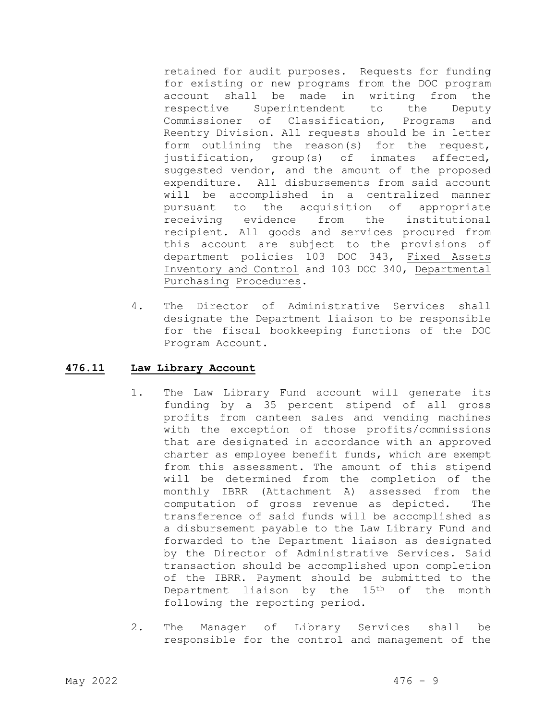retained for audit purposes. Requests for funding for existing or new programs from the DOC program account shall be made in writing from the respective Superintendent to the Deputy Commissioner of Classification, Programs and Reentry Division. All requests should be in letter form outlining the reason(s) for the request,<br>justification, group(s) of inmates affected, justification, group(s) suggested vendor, and the amount of the proposed expenditure. All disbursements from said account will be accomplished in a centralized manner pursuant to the acquisition of appropriate<br>receiving evidence from the institutional receiving evidence recipient. All goods and services procured from this account are subject to the provisions of department policies 103 DOC 343, Fixed Assets Inventory and Control and 103 DOC 340, Departmental Purchasing Procedures.

4. The Director of Administrative Services shall designate the Department liaison to be responsible for the fiscal bookkeeping functions of the DOC Program Account.

#### **476.11 Law Library Account**

- 1. The Law Library Fund account will generate its funding by a 35 percent stipend of all gross profits from canteen sales and vending machines with the exception of those profits/commissions that are designated in accordance with an approved charter as employee benefit funds, which are exempt from this assessment. The amount of this stipend will be determined from the completion of the monthly IBRR (Attachment A) assessed from the computation of gross revenue as depicted. The transference of said funds will be accomplished as a disbursement payable to the Law Library Fund and forwarded to the Department liaison as designated by the Director of Administrative Services. Said transaction should be accomplished upon completion of the IBRR. Payment should be submitted to the Department liaison by the 15<sup>th</sup> of the month following the reporting period.
- 2. The Manager of Library Services shall be responsible for the control and management of the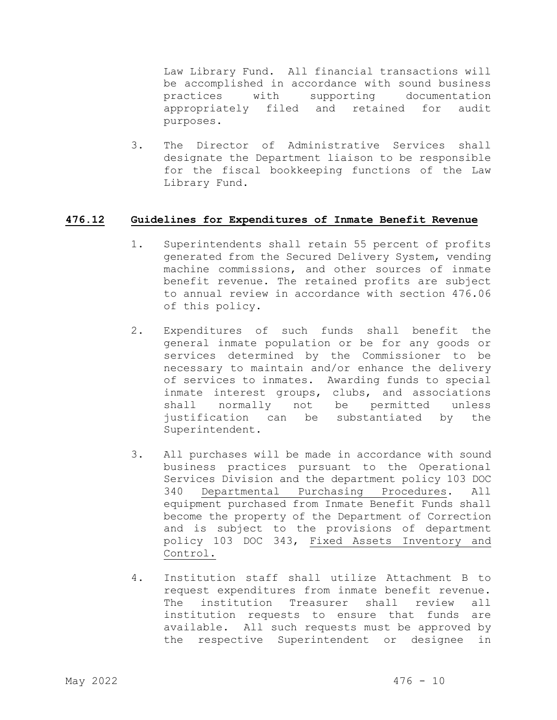Law Library Fund. All financial transactions will be accomplished in accordance with sound business practices with supporting documentation appropriately filed and retained for audit purposes.

3. The Director of Administrative Services shall designate the Department liaison to be responsible for the fiscal bookkeeping functions of the Law Library Fund.

#### **476.12 Guidelines for Expenditures of Inmate Benefit Revenue**

- 1. Superintendents shall retain 55 percent of profits generated from the Secured Delivery System, vending machine commissions, and other sources of inmate benefit revenue. The retained profits are subject to annual review in accordance with section 476.06 of this policy.
- 2. Expenditures of such funds shall benefit the general inmate population or be for any goods or services determined by the Commissioner to be necessary to maintain and/or enhance the delivery of services to inmates. Awarding funds to special inmate interest groups, clubs, and associations shall normally not be permitted unless justification can be substantiated by the Superintendent.
- 3. All purchases will be made in accordance with sound business practices pursuant to the Operational Services Division and the department policy 103 DOC 340 Departmental Purchasing Procedures. All equipment purchased from Inmate Benefit Funds shall become the property of the Department of Correction and is subject to the provisions of department policy 103 DOC 343, Fixed Assets Inventory and Control.
- 4. Institution staff shall utilize Attachment B to request expenditures from inmate benefit revenue. The institution Treasurer shall review all institution requests to ensure that funds are available. All such requests must be approved by the respective Superintendent or designee in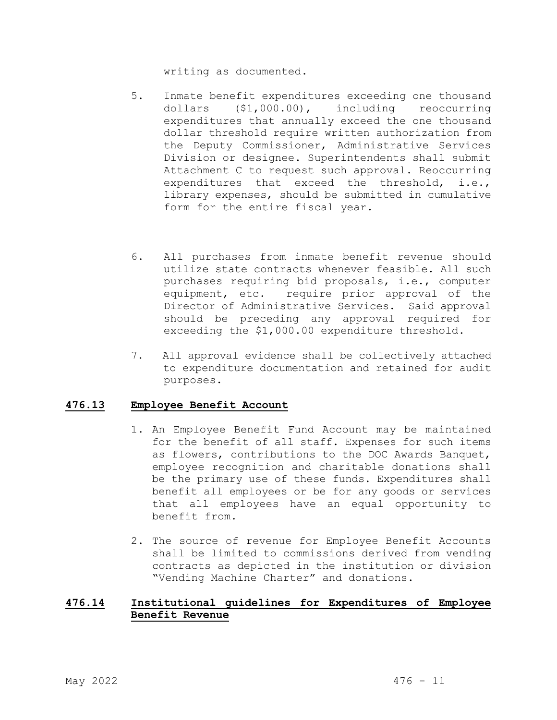writing as documented.

- 5. Inmate benefit expenditures exceeding one thousand dollars (\$1,000.00), including reoccurring expenditures that annually exceed the one thousand dollar threshold require written authorization from the Deputy Commissioner, Administrative Services Division or designee. Superintendents shall submit Attachment C to request such approval. Reoccurring expenditures that exceed the threshold, i.e., library expenses, should be submitted in cumulative form for the entire fiscal year.
- 6. All purchases from inmate benefit revenue should utilize state contracts whenever feasible. All such purchases requiring bid proposals, i.e., computer equipment, etc. require prior approval of the Director of Administrative Services. Said approval should be preceding any approval required for exceeding the \$1,000.00 expenditure threshold.
- 7. All approval evidence shall be collectively attached to expenditure documentation and retained for audit purposes.

#### **476.13 Employee Benefit Account**

- 1. An Employee Benefit Fund Account may be maintained for the benefit of all staff. Expenses for such items as flowers, contributions to the DOC Awards Banquet, employee recognition and charitable donations shall be the primary use of these funds. Expenditures shall benefit all employees or be for any goods or services that all employees have an equal opportunity to benefit from.
- 2. The source of revenue for Employee Benefit Accounts shall be limited to commissions derived from vending contracts as depicted in the institution or division "Vending Machine Charter" and donations.

#### **476.14 Institutional guidelines for Expenditures of Employee Benefit Revenue**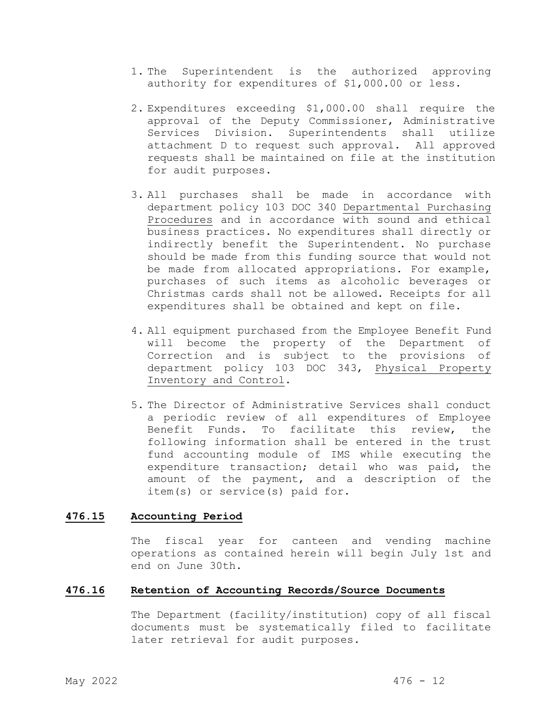- 1. The Superintendent is the authorized approving authority for expenditures of \$1,000.00 or less.
- 2. Expenditures exceeding \$1,000.00 shall require the approval of the Deputy Commissioner, Administrative Services Division. Superintendents shall utilize attachment D to request such approval. All approved requests shall be maintained on file at the institution for audit purposes.
- 3. All purchases shall be made in accordance with department policy 103 DOC 340 Departmental Purchasing Procedures and in accordance with sound and ethical business practices. No expenditures shall directly or indirectly benefit the Superintendent. No purchase should be made from this funding source that would not be made from allocated appropriations. For example, purchases of such items as alcoholic beverages or Christmas cards shall not be allowed. Receipts for all expenditures shall be obtained and kept on file.
- 4. All equipment purchased from the Employee Benefit Fund will become the property of the Department of Correction and is subject to the provisions of department policy 103 DOC 343, Physical Property Inventory and Control.
- 5. The Director of Administrative Services shall conduct a periodic review of all expenditures of Employee Benefit Funds. To facilitate this review, the following information shall be entered in the trust fund accounting module of IMS while executing the expenditure transaction; detail who was paid, the amount of the payment, and a description of the item(s) or service(s) paid for.

#### **476.15 Accounting Period**

The fiscal year for canteen and vending machine operations as contained herein will begin July 1st and end on June 30th.

#### **476.16 Retention of Accounting Records/Source Documents**

The Department (facility/institution) copy of all fiscal documents must be systematically filed to facilitate later retrieval for audit purposes.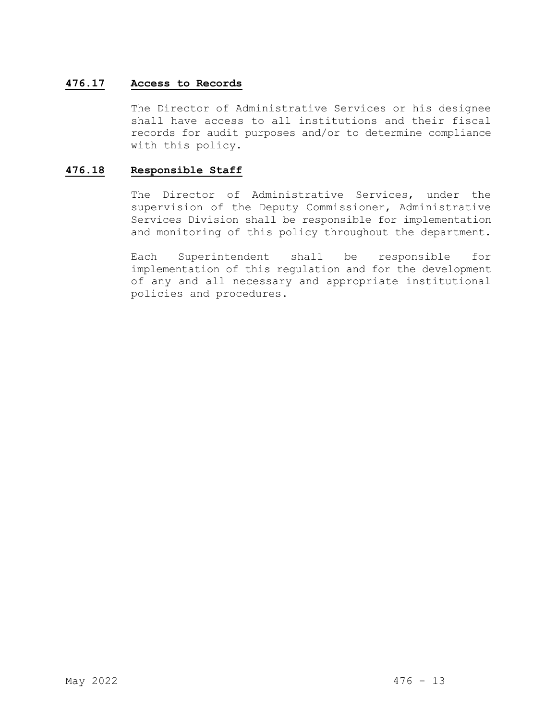#### **476.17 Access to Records**

The Director of Administrative Services or his designee shall have access to all institutions and their fiscal records for audit purposes and/or to determine compliance with this policy.

#### **476.18 Responsible Staff**

The Director of Administrative Services, under the supervision of the Deputy Commissioner, Administrative Services Division shall be responsible for implementation and monitoring of this policy throughout the department.

Each Superintendent shall be responsible for implementation of this regulation and for the development of any and all necessary and appropriate institutional policies and procedures.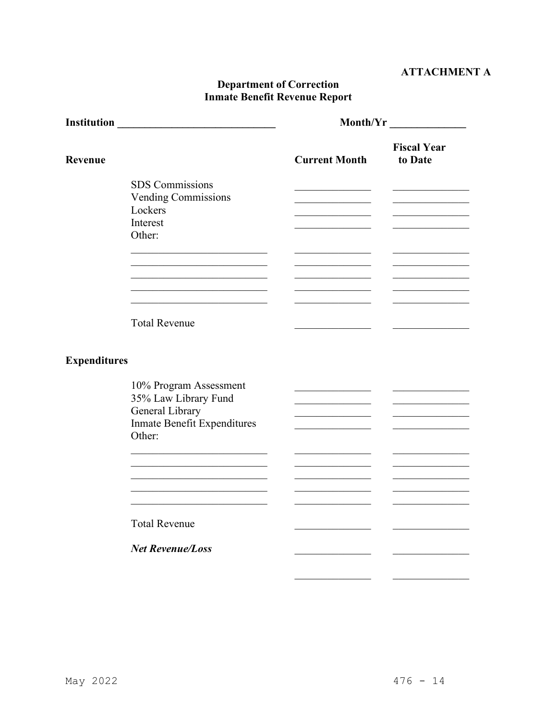# **ATTACHMENT A**

# **Department of Correction<br>Inmate Benefit Revenue Report**

|                     |                                                                                                            | Month/Yr                                       |                               |  |
|---------------------|------------------------------------------------------------------------------------------------------------|------------------------------------------------|-------------------------------|--|
| Revenue             |                                                                                                            | <b>Current Month</b>                           | <b>Fiscal Year</b><br>to Date |  |
|                     | <b>SDS</b> Commissions<br><b>Vending Commissions</b><br>Lockers<br>Interest<br>Other:                      | the control of the control of the control of   |                               |  |
|                     | <b>Total Revenue</b>                                                                                       |                                                |                               |  |
| <b>Expenditures</b> |                                                                                                            |                                                |                               |  |
|                     | 10% Program Assessment<br>35% Law Library Fund<br>General Library<br>Inmate Benefit Expenditures<br>Other: |                                                |                               |  |
|                     |                                                                                                            | <u> 1989 - John Stein, mars and de Branden</u> |                               |  |
|                     | <b>Total Revenue</b>                                                                                       |                                                |                               |  |
|                     | <b>Net Revenue/Loss</b>                                                                                    |                                                |                               |  |
|                     |                                                                                                            |                                                |                               |  |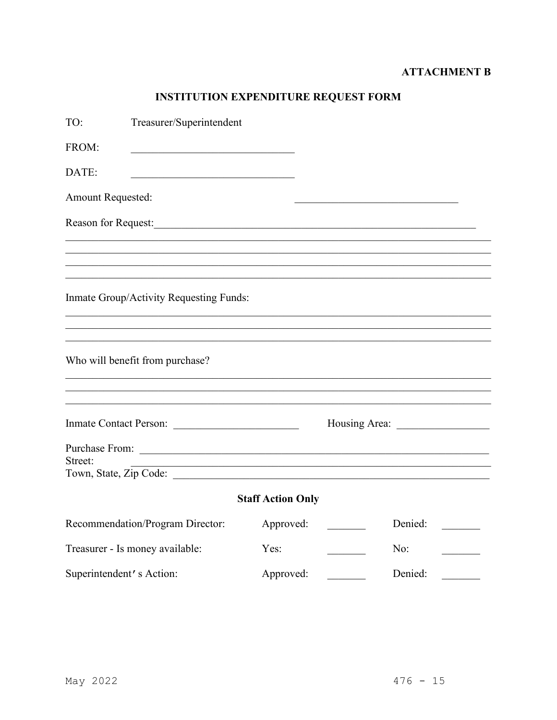# **ATTACHMENT B**

# INSTITUTION EXPENDITURE REQUEST FORM

| TO:                      | Treasurer/Superintendent                                                                                                                                                                                                                                |                          |                            |
|--------------------------|---------------------------------------------------------------------------------------------------------------------------------------------------------------------------------------------------------------------------------------------------------|--------------------------|----------------------------|
| FROM:                    | the control of the control of the control of the control of the control of                                                                                                                                                                              |                          |                            |
| DATE:                    |                                                                                                                                                                                                                                                         |                          |                            |
| Amount Requested:        |                                                                                                                                                                                                                                                         |                          |                            |
| Reason for Request:      |                                                                                                                                                                                                                                                         |                          |                            |
|                          |                                                                                                                                                                                                                                                         |                          |                            |
|                          |                                                                                                                                                                                                                                                         |                          |                            |
|                          | Inmate Group/Activity Requesting Funds:                                                                                                                                                                                                                 |                          |                            |
|                          | Who will benefit from purchase?                                                                                                                                                                                                                         |                          |                            |
|                          | Inmate Contact Person:                                                                                                                                                                                                                                  |                          |                            |
| Street:                  | Purchase From: 2000 and 2000 and 2000 and 2000 and 2000 and 2000 and 2000 and 2000 and 2000 and 2000 and 2000 and 2000 and 2000 and 2000 and 2000 and 2000 and 2000 and 2000 and 2000 and 2000 and 2000 and 2000 and 2000 and<br>Town, State, Zip Code: |                          |                            |
|                          |                                                                                                                                                                                                                                                         | <b>Staff Action Only</b> |                            |
|                          | Recommendation/Program Director:                                                                                                                                                                                                                        | Approved:                | Denied:<br><b>Contract</b> |
|                          | Treasurer - Is money available:                                                                                                                                                                                                                         | Yes:                     | No:                        |
| Superintendent's Action: |                                                                                                                                                                                                                                                         | Approved:                | Denied:                    |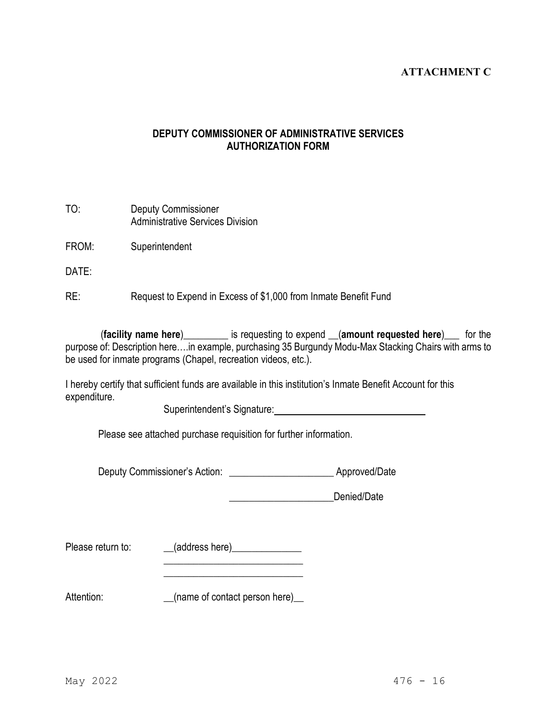# **ATTACHMENT C**

## **DEPUTY COMMISSIONER OF ADMINISTRATIVE SERVICES AUTHORIZATION FORM**

| TO: | <b>Deputy Commissioner</b>              |
|-----|-----------------------------------------|
|     | <b>Administrative Services Division</b> |

FROM: Superintendent

DATE:

RE: Request to Expend in Excess of \$1,000 from Inmate Benefit Fund

 (**facility name here**)\_\_\_\_\_\_\_\_\_ is requesting to expend \_\_(**amount requested here**)\_\_\_ for the purpose of: Description here….in example, purchasing 35 Burgundy Modu-Max Stacking Chairs with arms to be used for inmate programs (Chapel, recreation videos, etc.).

I hereby certify that sufficient funds are available in this institution's Inmate Benefit Account for this expenditure.

Superintendent's Signature: Manual According to the Superintendent's Signature:

Please see attached purchase requisition for further information.

Deputy Commissioner's Action: \_\_\_\_\_\_\_\_\_\_\_\_\_\_\_\_\_\_\_\_\_\_\_\_\_\_\_\_\_\_ Approved/Date

**Denied/Date** 

Please return to: \_\_\_\_\_(address here)\_\_\_\_\_\_\_\_\_\_\_\_\_\_\_

 $\overline{\phantom{a}}$  , which is a set of the set of the set of the set of the set of the set of the set of the set of the set of the set of the set of the set of the set of the set of the set of the set of the set of the set of th  $\frac{1}{2}$  , and the set of the set of the set of the set of the set of the set of the set of the set of the set of the set of the set of the set of the set of the set of the set of the set of the set of the set of the set

Attention: \_\_\_\_\_\_\_\_\_\_\_\_\_(name of contact person here)